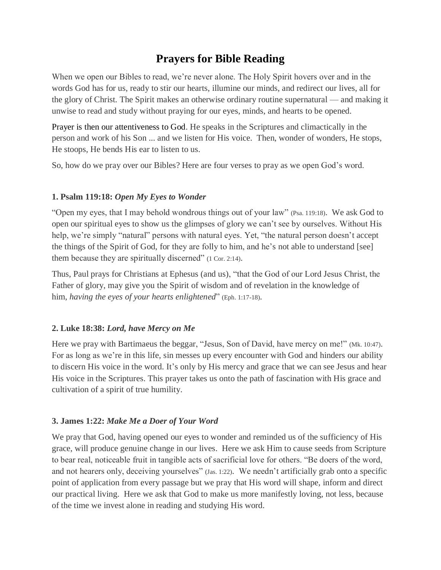# **Prayers for Bible Reading**

When we open our Bibles to read, we're never alone. The Holy Spirit hovers over and in the words God has for us, ready to stir our hearts, illumine our minds, and redirect our lives, all for the glory of Christ. The Spirit makes an otherwise ordinary routine supernatural — and making it unwise to read and study without praying for our eyes, minds, and hearts to be opened.

Prayer is then our attentiveness to God. He speaks in the Scriptures and climactically in the person and work of his Son ... and we listen for His voice. Then, wonder of wonders, He stops, He stoops, He bends His ear to listen to us.

So, how do we pray over our Bibles? Here are four verses to pray as we open God's word.

### **1. Psalm 119:18:** *Open My Eyes to Wonder*

"Open my eyes, that I may behold wondrous things out of your law" (Psa. 119:18). We ask God to open our spiritual eyes to show us the glimpses of glory we can't see by ourselves. Without His help, we're simply "natural" persons with natural eyes. Yet, "the natural person doesn't accept the things of the Spirit of God, for they are folly to him, and he's not able to understand [see] them because they are spiritually discerned" (1 Cor. 2:14).

Thus, Paul prays for Christians at Ephesus (and us), "that the God of our Lord Jesus Christ, the Father of glory, may give you the Spirit of wisdom and of revelation in the knowledge of him, *having the eyes of your hearts enlightened*" (Eph. 1:17-18).

## **2. Luke 18:38:** *Lord, have Mercy on Me*

Here we pray with Bartimaeus the beggar, "Jesus, Son of David, have mercy on me!" (Mk. 10:47). For as long as we're in this life, sin messes up every encounter with God and hinders our ability to discern His voice in the word. It's only by His mercy and grace that we can see Jesus and hear His voice in the Scriptures. This prayer takes us onto the path of fascination with His grace and cultivation of a spirit of true humility.

## **3. James 1:22:** *Make Me a Doer of Your Word*

We pray that God, having opened our eyes to wonder and reminded us of the sufficiency of His grace, will produce genuine change in our lives. Here we ask Him to cause seeds from Scripture to bear real, noticeable fruit in tangible acts of sacrificial love for others. "Be doers of the word, and not hearers only, deceiving yourselves" (Jas. 1:22). We needn't artificially grab onto a specific point of application from every passage but we pray that His word will shape, inform and direct our practical living. Here we ask that God to make us more manifestly loving, not less, because of the time we invest alone in reading and studying His word.